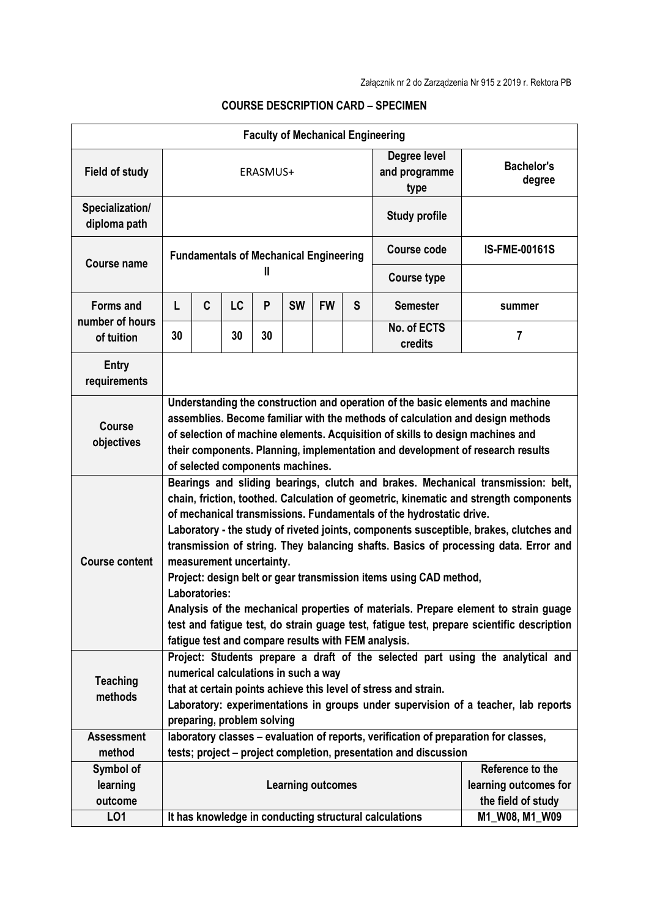|                                                   |                                                                                                                                                                                                                                                                                                                                                                                                                                                                                                                                                                                                                                                                                                                                                                                                |                                                                                      |           |    |           |                       |                                       | <b>Faculty of Mechanical Engineering</b>                         |                      |
|---------------------------------------------------|------------------------------------------------------------------------------------------------------------------------------------------------------------------------------------------------------------------------------------------------------------------------------------------------------------------------------------------------------------------------------------------------------------------------------------------------------------------------------------------------------------------------------------------------------------------------------------------------------------------------------------------------------------------------------------------------------------------------------------------------------------------------------------------------|--------------------------------------------------------------------------------------|-----------|----|-----------|-----------------------|---------------------------------------|------------------------------------------------------------------|----------------------|
| <b>Field of study</b>                             | ERASMUS+                                                                                                                                                                                                                                                                                                                                                                                                                                                                                                                                                                                                                                                                                                                                                                                       |                                                                                      |           |    |           |                       | Degree level<br>and programme<br>type | <b>Bachelor's</b><br>degree                                      |                      |
| Specialization/<br>diploma path                   |                                                                                                                                                                                                                                                                                                                                                                                                                                                                                                                                                                                                                                                                                                                                                                                                |                                                                                      |           |    |           |                       |                                       | <b>Study profile</b>                                             |                      |
| <b>Course name</b>                                | <b>Fundamentals of Mechanical Engineering</b><br>Ш                                                                                                                                                                                                                                                                                                                                                                                                                                                                                                                                                                                                                                                                                                                                             |                                                                                      |           |    |           |                       |                                       | <b>Course code</b>                                               | <b>IS-FME-00161S</b> |
|                                                   |                                                                                                                                                                                                                                                                                                                                                                                                                                                                                                                                                                                                                                                                                                                                                                                                |                                                                                      |           |    |           |                       |                                       | <b>Course type</b>                                               |                      |
| <b>Forms and</b><br>number of hours<br>of tuition | L                                                                                                                                                                                                                                                                                                                                                                                                                                                                                                                                                                                                                                                                                                                                                                                              | C                                                                                    | <b>LC</b> | P  | <b>SW</b> | <b>FW</b>             | S                                     | <b>Semester</b>                                                  | summer               |
|                                                   | 30                                                                                                                                                                                                                                                                                                                                                                                                                                                                                                                                                                                                                                                                                                                                                                                             |                                                                                      | 30        | 30 |           |                       |                                       | No. of ECTS<br>credits                                           | 7                    |
| <b>Entry</b><br>requirements                      |                                                                                                                                                                                                                                                                                                                                                                                                                                                                                                                                                                                                                                                                                                                                                                                                |                                                                                      |           |    |           |                       |                                       |                                                                  |                      |
| <b>Course</b><br>objectives                       | Understanding the construction and operation of the basic elements and machine<br>assemblies. Become familiar with the methods of calculation and design methods<br>of selection of machine elements. Acquisition of skills to design machines and<br>their components. Planning, implementation and development of research results<br>of selected components machines.                                                                                                                                                                                                                                                                                                                                                                                                                       |                                                                                      |           |    |           |                       |                                       |                                                                  |                      |
| <b>Course content</b>                             | Bearings and sliding bearings, clutch and brakes. Mechanical transmission: belt,<br>chain, friction, toothed. Calculation of geometric, kinematic and strength components<br>of mechanical transmissions. Fundamentals of the hydrostatic drive.<br>Laboratory - the study of riveted joints, components susceptible, brakes, clutches and<br>transmission of string. They balancing shafts. Basics of processing data. Error and<br>measurement uncertainty.<br>Project: design belt or gear transmission items using CAD method,<br>Laboratories:<br>Analysis of the mechanical properties of materials. Prepare element to strain guage<br>test and fatigue test, do strain guage test, fatigue test, prepare scientific description<br>fatigue test and compare results with FEM analysis. |                                                                                      |           |    |           |                       |                                       |                                                                  |                      |
| <b>Teaching</b><br>methods                        | Project: Students prepare a draft of the selected part using the analytical and<br>numerical calculations in such a way<br>that at certain points achieve this level of stress and strain.<br>Laboratory: experimentations in groups under supervision of a teacher, lab reports<br>preparing, problem solving                                                                                                                                                                                                                                                                                                                                                                                                                                                                                 |                                                                                      |           |    |           |                       |                                       |                                                                  |                      |
| <b>Assessment</b>                                 |                                                                                                                                                                                                                                                                                                                                                                                                                                                                                                                                                                                                                                                                                                                                                                                                | laboratory classes - evaluation of reports, verification of preparation for classes, |           |    |           |                       |                                       |                                                                  |                      |
| method                                            |                                                                                                                                                                                                                                                                                                                                                                                                                                                                                                                                                                                                                                                                                                                                                                                                |                                                                                      |           |    |           |                       |                                       | tests; project – project completion, presentation and discussion |                      |
| Symbol of                                         |                                                                                                                                                                                                                                                                                                                                                                                                                                                                                                                                                                                                                                                                                                                                                                                                |                                                                                      |           |    |           |                       | Reference to the                      |                                                                  |                      |
| learning                                          | <b>Learning outcomes</b>                                                                                                                                                                                                                                                                                                                                                                                                                                                                                                                                                                                                                                                                                                                                                                       |                                                                                      |           |    |           | learning outcomes for |                                       |                                                                  |                      |
| outcome                                           | It has knowledge in conducting structural calculations                                                                                                                                                                                                                                                                                                                                                                                                                                                                                                                                                                                                                                                                                                                                         |                                                                                      |           |    |           |                       | the field of study                    |                                                                  |                      |
| LO1                                               |                                                                                                                                                                                                                                                                                                                                                                                                                                                                                                                                                                                                                                                                                                                                                                                                |                                                                                      |           |    |           |                       |                                       |                                                                  | M1_W08, M1_W09       |

## **COURSE DESCRIPTION CARD – SPECIMEN**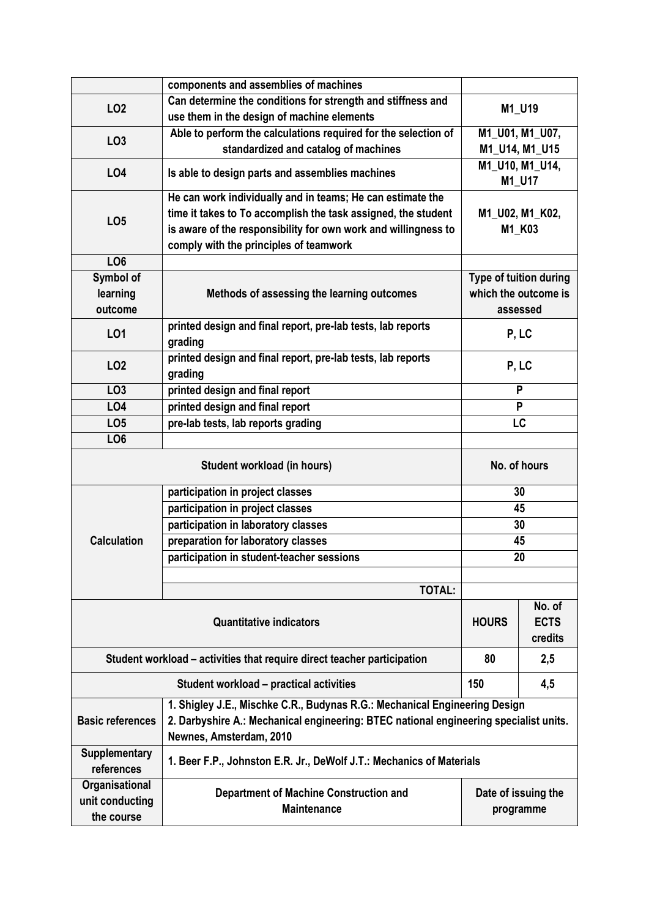|                                                                         | components and assemblies of machines                                                                                                                                                          |                                                |        |  |  |  |
|-------------------------------------------------------------------------|------------------------------------------------------------------------------------------------------------------------------------------------------------------------------------------------|------------------------------------------------|--------|--|--|--|
| LO <sub>2</sub>                                                         | Can determine the conditions for strength and stiffness and                                                                                                                                    |                                                |        |  |  |  |
|                                                                         | use them in the design of machine elements                                                                                                                                                     | M1_U19                                         |        |  |  |  |
|                                                                         | Able to perform the calculations required for the selection of<br>LO <sub>3</sub>                                                                                                              |                                                |        |  |  |  |
|                                                                         | standardized and catalog of machines                                                                                                                                                           | M1_U14, M1_U15                                 |        |  |  |  |
| <b>LO4</b>                                                              | Is able to design parts and assemblies machines                                                                                                                                                | M1_U10, M1_U14,<br>M1_U17                      |        |  |  |  |
|                                                                         | He can work individually and in teams; He can estimate the                                                                                                                                     |                                                |        |  |  |  |
| LO <sub>5</sub>                                                         | time it takes to To accomplish the task assigned, the student                                                                                                                                  | M1_U02, M1_K02,                                |        |  |  |  |
|                                                                         | is aware of the responsibility for own work and willingness to                                                                                                                                 |                                                | M1_K03 |  |  |  |
|                                                                         | comply with the principles of teamwork                                                                                                                                                         |                                                |        |  |  |  |
| LO <sub>6</sub>                                                         |                                                                                                                                                                                                |                                                |        |  |  |  |
| Symbol of                                                               |                                                                                                                                                                                                | Type of tuition during<br>which the outcome is |        |  |  |  |
| learning                                                                | Methods of assessing the learning outcomes                                                                                                                                                     |                                                |        |  |  |  |
| outcome                                                                 |                                                                                                                                                                                                | assessed                                       |        |  |  |  |
| LO1                                                                     | printed design and final report, pre-lab tests, lab reports<br>grading                                                                                                                         | P, LC                                          |        |  |  |  |
| LO <sub>2</sub>                                                         | printed design and final report, pre-lab tests, lab reports<br>grading                                                                                                                         | P, LC                                          |        |  |  |  |
| LO <sub>3</sub>                                                         | printed design and final report                                                                                                                                                                | P                                              |        |  |  |  |
| LO4                                                                     | printed design and final report                                                                                                                                                                | P                                              |        |  |  |  |
| LO <sub>5</sub>                                                         | pre-lab tests, lab reports grading                                                                                                                                                             | LC                                             |        |  |  |  |
| LO <sub>6</sub>                                                         |                                                                                                                                                                                                |                                                |        |  |  |  |
|                                                                         | No. of hours                                                                                                                                                                                   |                                                |        |  |  |  |
|                                                                         | participation in project classes                                                                                                                                                               | 30                                             |        |  |  |  |
|                                                                         | participation in project classes                                                                                                                                                               | 45                                             |        |  |  |  |
|                                                                         | participation in laboratory classes                                                                                                                                                            | 30                                             |        |  |  |  |
| <b>Calculation</b>                                                      | preparation for laboratory classes                                                                                                                                                             | 45                                             |        |  |  |  |
|                                                                         | participation in student-teacher sessions                                                                                                                                                      | 20                                             |        |  |  |  |
|                                                                         |                                                                                                                                                                                                |                                                |        |  |  |  |
|                                                                         | TOTAL:                                                                                                                                                                                         |                                                |        |  |  |  |
|                                                                         | <b>HOURS</b>                                                                                                                                                                                   | No. of<br><b>ECTS</b><br>credits               |        |  |  |  |
| Student workload – activities that require direct teacher participation | 80                                                                                                                                                                                             | 2,5                                            |        |  |  |  |
|                                                                         | 150                                                                                                                                                                                            | 4,5                                            |        |  |  |  |
| <b>Basic references</b>                                                 | 1. Shigley J.E., Mischke C.R., Budynas R.G.: Mechanical Engineering Design<br>2. Darbyshire A.: Mechanical engineering: BTEC national engineering specialist units.<br>Newnes, Amsterdam, 2010 |                                                |        |  |  |  |
| <b>Supplementary</b><br>references                                      | 1. Beer F.P., Johnston E.R. Jr., DeWolf J.T.: Mechanics of Materials                                                                                                                           |                                                |        |  |  |  |
| Organisational<br>unit conducting<br>the course                         | <b>Department of Machine Construction and</b><br><b>Maintenance</b>                                                                                                                            | Date of issuing the<br>programme               |        |  |  |  |